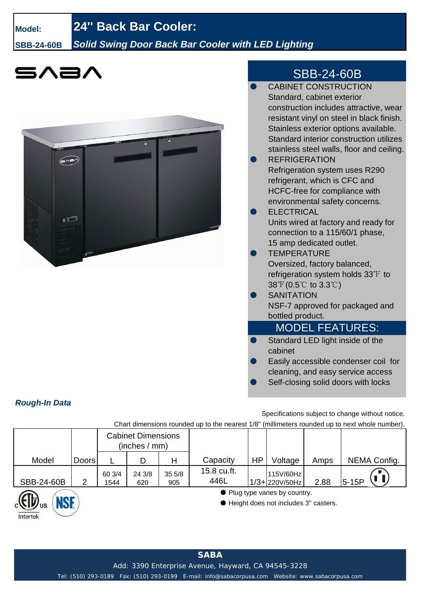# **Model: 24'' Back Bar Cooler:**

*Rough-In Data*

Intertek

### **SBB-24-60B** *Solid Swing Door Back Bar Cooler with LED Lighting*





## SBB-24-60B

| <b>CABINET CONSTRUCTION</b>                                                                      |
|--------------------------------------------------------------------------------------------------|
| Standard, cabinet exterior                                                                       |
| construction includes attractive, wear                                                           |
| resistant vinyl on steel in black finish.                                                        |
| Stainless exterior options available.                                                            |
| Standard interior construction utilizes                                                          |
| stainless steel walls, floor and ceiling.                                                        |
| <b>REFRIGERATION</b>                                                                             |
| <b>Refrigeration system uses R290</b>                                                            |
| refrigerant, which is CFC and                                                                    |
| HCFC-free for compliance with                                                                    |
| environmental safety concerns.                                                                   |
| <b>ELECTRICAL</b>                                                                                |
| Units wired at factory and ready for                                                             |
| connection to a 115/60/1 phase,                                                                  |
| 15 amp dedicated outlet.                                                                         |
| <b>TEMPERATURE</b>                                                                               |
| Oversized, factory balanced,                                                                     |
| refrigeration system holds $33^{\circ}$ to                                                       |
| $38\text{ }^{\circ}\text{F}$ (0.5 $\text{ }^{\circ}\text{C}$ to 3.3 $\text{ }^{\circ}\text{C}$ ) |
| <b>SANITATION</b>                                                                                |
| NSF-7 approved for packaged and                                                                  |
| bottled product.                                                                                 |
| <b>MODEL FEATURES:</b>                                                                           |
| Standard LED light inside of the                                                                 |
| cabinet                                                                                          |
| Easily accessible condenser coil for                                                             |
| cleaning, and easy service access                                                                |

Self-closing solid doors with locks

Specifications subject to change without notice.

Chart dimensions rounded up to the nearest 1/8" (millimeters rounded up to next whole number).

|            |              | <b>Cabinet Dimensions</b><br>(inches / mm) |               |              |                     |    |                                                                          |      |              |
|------------|--------------|--------------------------------------------|---------------|--------------|---------------------|----|--------------------------------------------------------------------------|------|--------------|
| Model      | <b>Doors</b> |                                            | D             | Н            | Capacity            | HP | Voltage                                                                  | Amps | NEMA Config. |
| SBB-24-60B | ⌒            | 60 3/4<br>1544                             | 24 3/8<br>620 | 355/8<br>905 | 15.8 cu.ft.<br>446L |    | 115V/60Hz<br>1/3+220V/50Hz                                               | 2.88 | $5-15P$      |
| NGE        |              |                                            |               |              |                     |    | • Plug type varies by country.<br>● Height does not includes 3" casters. |      |              |

**SABA**